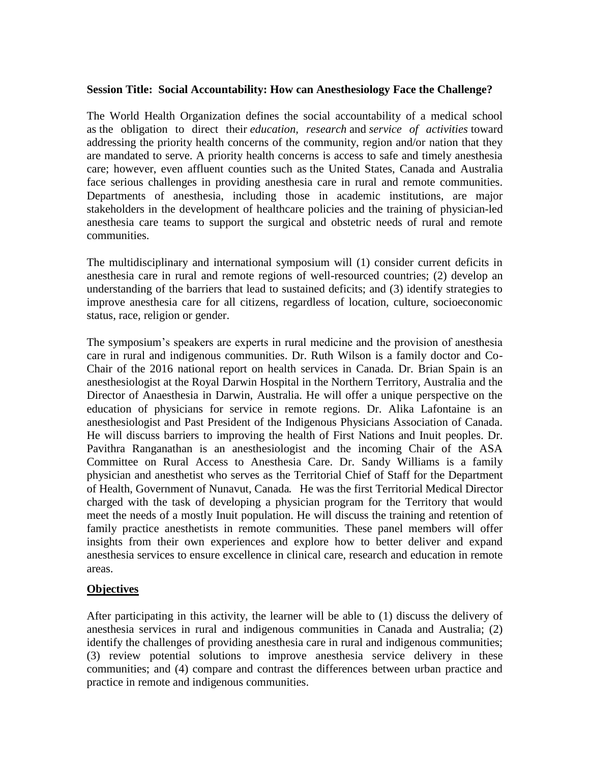## **Session Title: Social Accountability: How can Anesthesiology Face the Challenge?**

The World Health Organization defines the social accountability of a medical school as the obligation to direct their *education, research* and *service of activities* toward addressing the priority health concerns of the community, region and/or nation that they are mandated to serve. A priority health concerns is access to safe and timely anesthesia care; however, even affluent counties such as the United States, Canada and Australia face serious challenges in providing anesthesia care in rural and remote communities. Departments of anesthesia, including those in academic institutions, are major stakeholders in the development of healthcare policies and the training of physician-led anesthesia care teams to support the surgical and obstetric needs of rural and remote communities.

The multidisciplinary and international symposium will (1) consider current deficits in anesthesia care in rural and remote regions of well-resourced countries; (2) develop an understanding of the barriers that lead to sustained deficits; and (3) identify strategies to improve anesthesia care for all citizens, regardless of location, culture, socioeconomic status, race, religion or gender.

The symposium's speakers are experts in rural medicine and the provision of anesthesia care in rural and indigenous communities. Dr. Ruth Wilson is a family doctor and Co-Chair of the 2016 national report on health services in Canada. Dr. Brian Spain is an anesthesiologist at the Royal Darwin Hospital in the Northern Territory, Australia and the Director of Anaesthesia in Darwin, Australia. He will offer a unique perspective on the education of physicians for service in remote regions. Dr. Alika Lafontaine is an anesthesiologist and Past President of the Indigenous Physicians Association of Canada. He will discuss barriers to improving the health of First Nations and Inuit peoples. Dr. Pavithra Ranganathan is an anesthesiologist and the incoming Chair of the ASA Committee on Rural Access to Anesthesia Care. Dr. Sandy Williams is a family physician and anesthetist who serves as the Territorial Chief of Staff for the Department of Health, Government of Nunavut, Canada. He was the first Territorial Medical Director charged with the task of developing a physician program for the Territory that would meet the needs of a mostly Inuit population. He will discuss the training and retention of family practice anesthetists in remote communities. These panel members will offer insights from their own experiences and explore how to better deliver and expand anesthesia services to ensure excellence in clinical care, research and education in remote areas.

## **Objectives**

After participating in this activity, the learner will be able to (1) discuss the delivery of anesthesia services in rural and indigenous communities in Canada and Australia; (2) identify the challenges of providing anesthesia care in rural and indigenous communities; (3) review potential solutions to improve anesthesia service delivery in these communities; and (4) compare and contrast the differences between urban practice and practice in remote and indigenous communities.